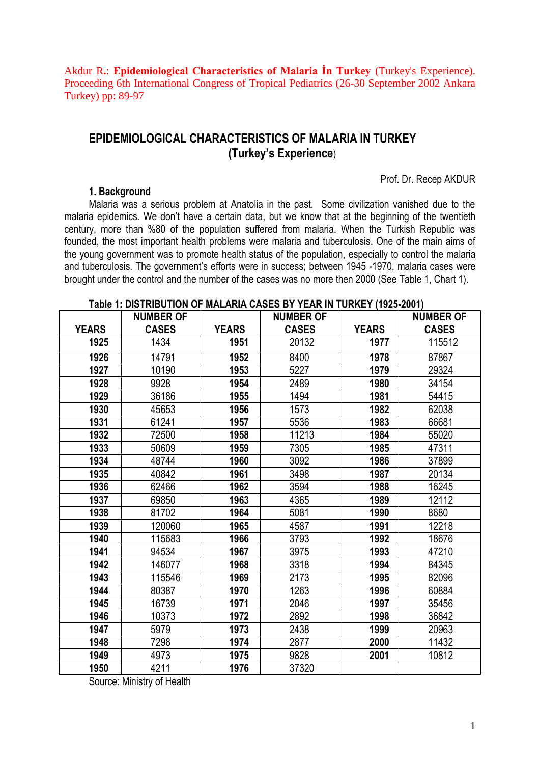Akdur R**.**: **Epidemiological Characteristics of Malaria İn Turkey** (Turkey's Experience). Proceeding 6th International Congress of Tropical Pediatrics (26-30 September 2002 Ankara Turkey) pp: 89-97

# **EPIDEMIOLOGICAL CHARACTERISTICS OF MALARIA IN TURKEY (Turkey's Experience**)

#### **1. Background**

Prof. Dr. Recep AKDUR

Malaria was a serious problem at Anatolia in the past. Some civilization vanished due to the malaria epidemics. We don't have a certain data, but we know that at the beginning of the twentieth century, more than %80 of the population suffered from malaria. When the Turkish Republic was founded, the most important health problems were malaria and tuberculosis. One of the main aims of the young government was to promote health status of the population, especially to control the malaria and tuberculosis. The government's efforts were in success; between 1945 -1970, malaria cases were brought under the control and the number of the cases was no more then 2000 (See Table 1, Chart 1).

#### **YEARS NUMBER OF CASES YEARS NUMBER OF CASES YEARS NUMBER OF CASES 1925** 1434 **1951** 20132 **1977** 115512 **1926** 14791 | **1952** | 8400 | **1978** | 87867 **1927** 10190 **1953** 5227 **1979** 29324 **1928** 9928 **1954** 2489 **1980** 34154 **1929** 36186 **1955** 1494 **1981** 54415 **1930** 45653 **1956** 1573 **1982** 62038 **1931** 61241 **1957** 5536 **1983** 66681 **1932** 72500 **1958** 11213 **1984** 55020 **1933** 50609 **1959** 7305 **1985** 47311 **1934** 48744 **1960** 3092 **1986** 37899 **1935** 40842 **1961** 3498 **1987** 20134 **1936** 62466 **1962** 3594 **1988** 16245 **1937** 69850 **1963** 4365 **1989** 12112 **1938** 81702 **1964** 5081 **1990** 8680 **1939** 120060 **1965** 4587 **1991** 12218 **1940** 115683 **1966** 3793 **1992** 18676 **1941** 94534 **1967** 3975 **1993** 47210 **1942** 146077 **1968** 3318 **1994** 84345 **1943** 115546 **1969** 2173 **1995** 82096 **1944** 80387 **1970** 1263 **1996** 60884 **1945** 16739 **1971** 2046 **1997** 35456 **1946** 10373 **1972** 2892 **1998** 36842 **1947** 5979 **1973** 2438 **1999** 20963 **1948** 7298 **1974** 2877 **2000** 11432 **1949** 4973 **1975** 9828 **2001** 10812 **1950** 4211 **1976** 37320

#### **Table 1: DISTRIBUTION OF MALARIA CASES BY YEAR IN TURKEY (1925-2001)**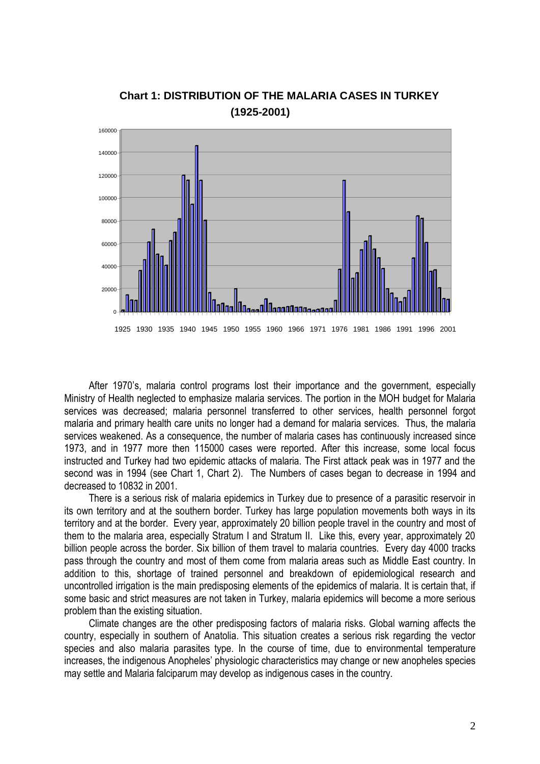

## **Chart 1: DISTRIBUTION OF THE MALARIA CASES IN TURKEY (1925-2001)**

After 1970's, malaria control programs lost their importance and the government, especially Ministry of Health neglected to emphasize malaria services. The portion in the MOH budget for Malaria services was decreased; malaria personnel transferred to other services, health personnel forgot malaria and primary health care units no longer had a demand for malaria services. Thus, the malaria services weakened. As a consequence, the number of malaria cases has continuously increased since 1973, and in 1977 more then 115000 cases were reported. After this increase, some local focus instructed and Turkey had two epidemic attacks of malaria. The First attack peak was in 1977 and the second was in 1994 (see Chart 1, Chart 2). The Numbers of cases began to decrease in 1994 and decreased to 10832 in 2001.

There is a serious risk of malaria epidemics in Turkey due to presence of a parasitic reservoir in its own territory and at the southern border. Turkey has large population movements both ways in its territory and at the border. Every year, approximately 20 billion people travel in the country and most of them to the malaria area, especially Stratum I and Stratum II. Like this, every year, approximately 20 billion people across the border. Six billion of them travel to malaria countries. Every day 4000 tracks pass through the country and most of them come from malaria areas such as Middle East country. In addition to this, shortage of trained personnel and breakdown of epidemiological research and uncontrolled irrigation is the main predisposing elements of the epidemics of malaria. It is certain that, if some basic and strict measures are not taken in Turkey, malaria epidemics will become a more serious problem than the existing situation.

Climate changes are the other predisposing factors of malaria risks. Global warning affects the country, especially in southern of Anatolia. This situation creates a serious risk regarding the vector species and also malaria parasites type. In the course of time, due to environmental temperature increases, the indigenous Anopheles' physiologic characteristics may change or new anopheles species may settle and Malaria falciparum may develop as indigenous cases in the country.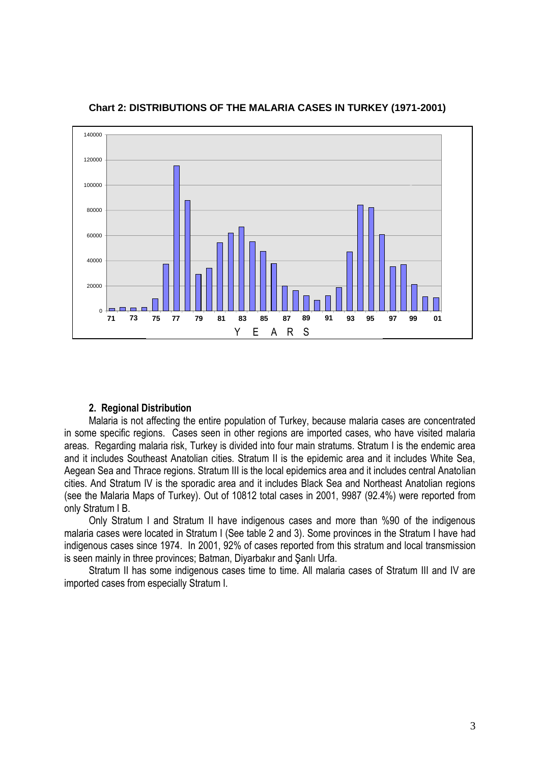

**Chart 2: DISTRIBUTIONS OF THE MALARIA CASES IN TURKEY (1971-2001)**

### **2. Regional Distribution**

Malaria is not affecting the entire population of Turkey, because malaria cases are concentrated in some specific regions. Cases seen in other regions are imported cases, who have visited malaria areas. Regarding malaria risk, Turkey is divided into four main stratums. Stratum I is the endemic area and it includes Southeast Anatolian cities. Stratum II is the epidemic area and it includes White Sea, Aegean Sea and Thrace regions. Stratum III is the local epidemics area and it includes central Anatolian cities. And Stratum IV is the sporadic area and it includes Black Sea and Northeast Anatolian regions (see the Malaria Maps of Turkey). Out of 10812 total cases in 2001, 9987 (92.4%) were reported from only Stratum I B.

Only Stratum I and Stratum II have indigenous cases and more than %90 of the indigenous malaria cases were located in Stratum I (See table 2 and 3). Some provinces in the Stratum I have had indigenous cases since 1974. In 2001, 92% of cases reported from this stratum and local transmission is seen mainly in three provinces; Batman, Diyarbakır and Şanlı Urfa.

Stratum II has some indigenous cases time to time. All malaria cases of Stratum III and IV are imported cases from especially Stratum I.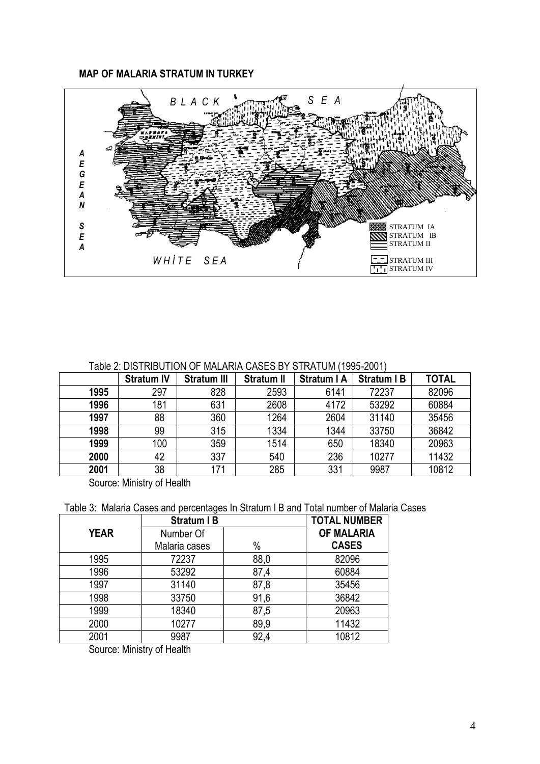## **MAP OF MALARIA STRATUM IN TURKEY**



## Table 2: DISTRIBUTION OF MALARIA CASES BY STRATUM (1995-2001)

|      | <b>Stratum IV</b> | <b>Stratum III</b> | <b>Stratum II</b> | <b>Stratum I A</b> | <b>Stratum I B</b> | <b>TOTAL</b> |
|------|-------------------|--------------------|-------------------|--------------------|--------------------|--------------|
| 1995 | 297               | 828                | 2593              | 6141               | 72237              | 82096        |
| 1996 | 181               | 631                | 2608              | 4172               | 53292              | 60884        |
| 1997 | 88                | 360                | 1264              | 2604               | 31140              | 35456        |
| 1998 | 99                | 315                | 1334              | 1344               | 33750              | 36842        |
| 1999 | 100               | 359                | 1514              | 650                | 18340              | 20963        |
| 2000 | 42                | 337                | 540               | 236                | 10277              | 11432        |
| 2001 | 38                | 171                | 285               | 331                | 9987               | 10812        |

Source: Ministry of Health

|  |  | Table 3: Malaria Cases and percentages In Stratum I B and Total number of Malaria Cases |  |  |  |  |  |  |  |  |  |  |
|--|--|-----------------------------------------------------------------------------------------|--|--|--|--|--|--|--|--|--|--|
|--|--|-----------------------------------------------------------------------------------------|--|--|--|--|--|--|--|--|--|--|

|             | <b>Stratum IB</b> | <b>TOTAL NUMBER</b> |                   |
|-------------|-------------------|---------------------|-------------------|
| <b>YEAR</b> | Number Of         |                     | <b>OF MALARIA</b> |
|             | Malaria cases     | $\%$                | <b>CASES</b>      |
| 1995        | 72237             | 88,0                | 82096             |
| 1996        | 53292             | 87,4                | 60884             |
| 1997        | 31140             | 87,8                | 35456             |
| 1998        | 33750             | 91,6                | 36842             |
| 1999        | 18340             | 87,5                | 20963             |
| 2000        | 10277             | 89,9                | 11432             |
| 2001        | 9987              | 92,4                | 10812             |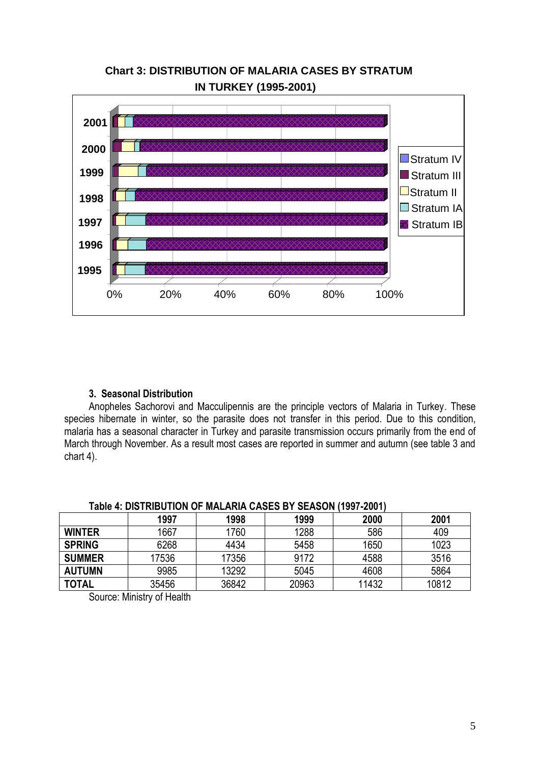

# **Chart 3: DISTRIBUTION OF MALARIA CASES BY STRATUM IN TURKEY (1995-2001)**

## **3. Seasonal Distribution**

Anopheles Sachorovi and Macculipennis are the principle vectors of Malaria in Turkey. These species hibernate in winter, so the parasite does not transfer in this period. Due to this condition, malaria has a seasonal character in Turkey and parasite transmission occurs primarily from the end of March through November. As a result most cases are reported in summer and autumn (see table 3 and chart 4).

| ו טעם וטטוויוטען שם טשטוטוען שווה וט ווטרושטוויטש וד טומאו |       |       |       |       |       |  |  |  |  |
|------------------------------------------------------------|-------|-------|-------|-------|-------|--|--|--|--|
|                                                            | 1997  | 1998  | 1999  | 2000  | 2001  |  |  |  |  |
| <b>WINTER</b>                                              | 1667  | 760   | 1288  | 586   | 409   |  |  |  |  |
| <b>SPRING</b>                                              | 6268  | 4434  | 5458  | 1650  | 1023  |  |  |  |  |
| <b>SUMMER</b>                                              | 17536 | 17356 | 9172  | 4588  | 3516  |  |  |  |  |
| <b>AUTUMN</b>                                              | 9985  | 13292 | 5045  | 4608  | 5864  |  |  |  |  |
| <b>TOTAL</b>                                               | 35456 | 36842 | 20963 | 11432 | 10812 |  |  |  |  |

## **Table 4: DISTRIBUTION OF MALARIA CASES BY SEASON (1997-2001)**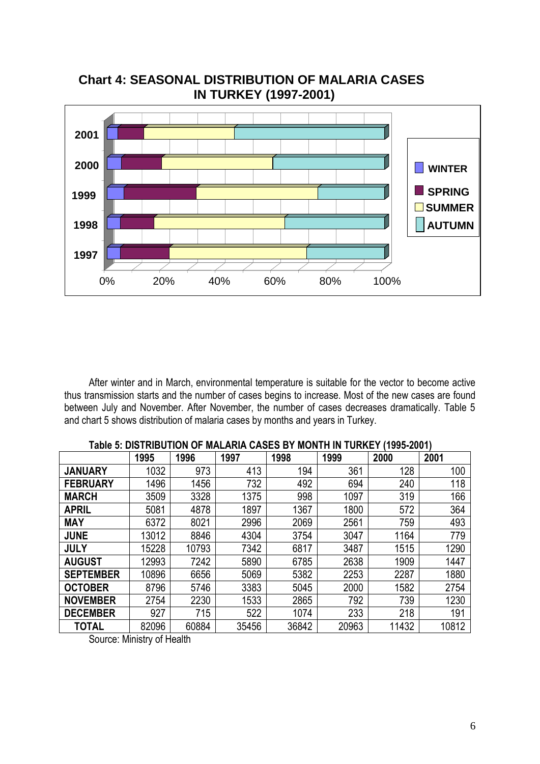

 **Chart 4: SEASONAL DISTRIBUTION OF MALARIA CASES IN TURKEY (1997-2001)**

After winter and in March, environmental temperature is suitable for the vector to become active thus transmission starts and the number of cases begins to increase. Most of the new cases are found between July and November. After November, the number of cases decreases dramatically. Table 5 and chart 5 shows distribution of malaria cases by months and years in Turkey.

|                  | 1995  | 1996  | 1997  | 1998  | 1999  | 2000  | 2001  |
|------------------|-------|-------|-------|-------|-------|-------|-------|
| <b>JANUARY</b>   | 1032  | 973   | 413   | 194   | 361   | 128   | 100   |
| <b>FEBRUARY</b>  | 1496  | 1456  | 732   | 492   | 694   | 240   | 118   |
| <b>MARCH</b>     | 3509  | 3328  | 1375  | 998   | 1097  | 319   | 166   |
| <b>APRIL</b>     | 5081  | 4878  | 1897  | 1367  | 1800  | 572   | 364   |
| <b>MAY</b>       | 6372  | 8021  | 2996  | 2069  | 2561  | 759   | 493   |
| <b>JUNE</b>      | 13012 | 8846  | 4304  | 3754  | 3047  | 1164  | 779   |
| <b>JULY</b>      | 15228 | 10793 | 7342  | 6817  | 3487  | 1515  | 1290  |
| <b>AUGUST</b>    | 12993 | 7242  | 5890  | 6785  | 2638  | 1909  | 1447  |
| <b>SEPTEMBER</b> | 10896 | 6656  | 5069  | 5382  | 2253  | 2287  | 1880  |
| <b>OCTOBER</b>   | 8796  | 5746  | 3383  | 5045  | 2000  | 1582  | 2754  |
| <b>NOVEMBER</b>  | 2754  | 2230  | 1533  | 2865  | 792   | 739   | 1230  |
| <b>DECEMBER</b>  | 927   | 715   | 522   | 1074  | 233   | 218   | 191   |
| <b>TOTAL</b>     | 82096 | 60884 | 35456 | 36842 | 20963 | 11432 | 10812 |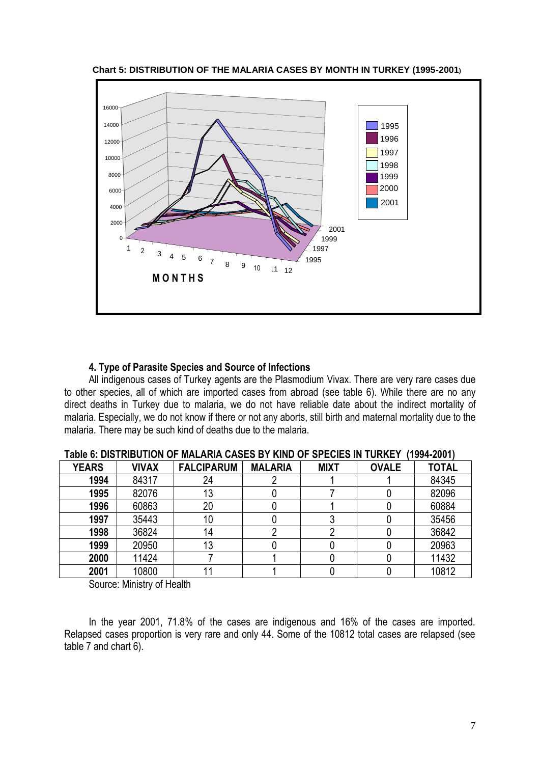

 **Chart 5: DISTRIBUTION OF THE MALARIA CASES BY MONTH IN TURKEY (1995-2001)**

### **4. Type of Parasite Species and Source of Infections**

All indigenous cases of Turkey agents are the Plasmodium Vivax. There are very rare cases due to other species, all of which are imported cases from abroad (see table 6). While there are no any direct deaths in Turkey due to malaria, we do not have reliable date about the indirect mortality of malaria. Especially, we do not know if there or not any aborts, still birth and maternal mortality due to the malaria. There may be such kind of deaths due to the malaria.

| <b>YEARS</b> | <b>VIVAX</b> | <b>FALCIPARUM</b> | <b>MALARIA</b> | <b>MIXT</b> | <b>OVALE</b> | <b>TOTAL</b> |  |  |  |
|--------------|--------------|-------------------|----------------|-------------|--------------|--------------|--|--|--|
| 1994         | 84317        | 24                |                |             |              | 84345        |  |  |  |
| 1995         | 82076        | 13                |                |             |              | 82096        |  |  |  |
| 1996         | 60863        | 20                |                |             |              | 60884        |  |  |  |
| 1997         | 35443        | 10                |                |             |              | 35456        |  |  |  |
| 1998         | 36824        | 14                |                |             |              | 36842        |  |  |  |
| 1999         | 20950        | 13                |                |             |              | 20963        |  |  |  |
| 2000         | 11424        |                   |                |             |              | 11432        |  |  |  |
| 2001         | 10800        |                   |                |             |              | 10812        |  |  |  |

**Table 6: DISTRIBUTION OF MALARIA CASES BY KIND OF SPECIES IN TURKEY (1994-2001)**

Source: Ministry of Health

In the year 2001, 71.8% of the cases are indigenous and 16% of the cases are imported. Relapsed cases proportion is very rare and only 44. Some of the 10812 total cases are relapsed (see table 7 and chart 6).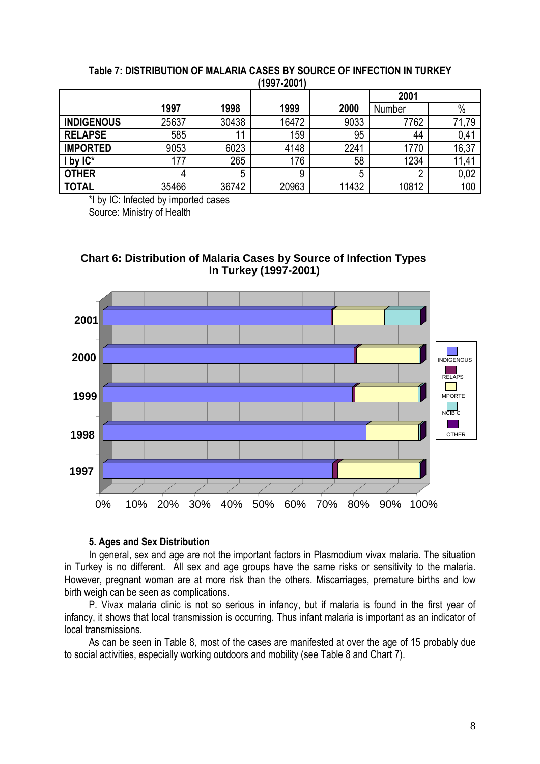|                   |       |       | (1997-2001) |       |        |       |
|-------------------|-------|-------|-------------|-------|--------|-------|
|                   |       |       |             |       | 2001   |       |
|                   | 1997  | 1998  | 1999        | 2000  | Number | $\%$  |
| <b>INDIGENOUS</b> | 25637 | 30438 | 16472       | 9033  | 7762   | 71,79 |
| <b>RELAPSE</b>    | 585   | 11    | 159         | 95    | 44     | 0,41  |
| <b>IMPORTED</b>   | 9053  | 6023  | 4148        | 2241  | 1770   | 16,37 |
| by $IC^*$         | 177   | 265   | 176         | 58    | 1234   | 11,41 |
| <b>OTHER</b>      | 4     | 5     | 9           | 5     | n      | 0,02  |
| <b>TOTAL</b>      | 35466 | 36742 | 20963       | 11432 | 10812  | 100   |

### **Table 7: DISTRIBUTION OF MALARIA CASES BY SOURCE OF INFECTION IN TURKEY (1997-2001)**

\*I by IC: Infected by imported cases

Source: Ministry of Health





## **5. Ages and Sex Distribution**

In general, sex and age are not the important factors in Plasmodium vivax malaria. The situation in Turkey is no different. All sex and age groups have the same risks or sensitivity to the malaria. However, pregnant woman are at more risk than the others. Miscarriages, premature births and low birth weigh can be seen as complications.

P. Vivax malaria clinic is not so serious in infancy, but if malaria is found in the first year of infancy, it shows that local transmission is occurring. Thus infant malaria is important as an indicator of local transmissions.

As can be seen in Table 8, most of the cases are manifested at over the age of 15 probably due to social activities, especially working outdoors and mobility (see Table 8 and Chart 7).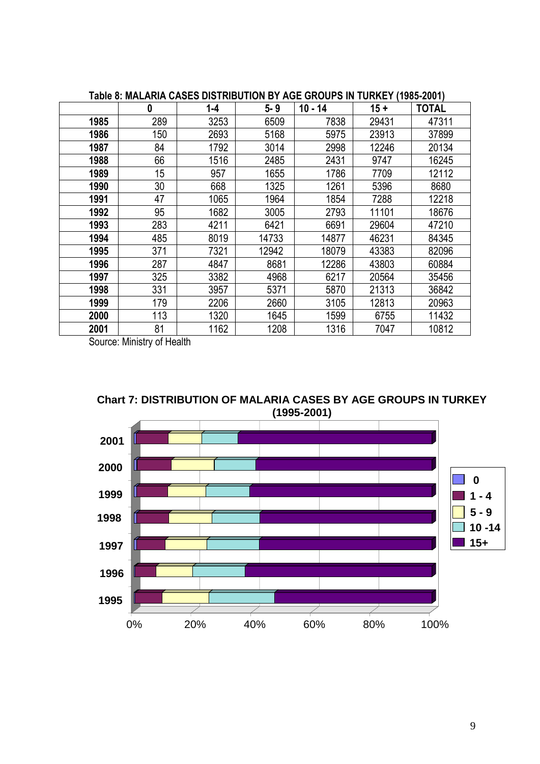|      | $\boldsymbol{0}$ | $1 - 4$ | $5 - 9$ | $10 - 14$ | $15 +$ | <b>TOTAL</b> |
|------|------------------|---------|---------|-----------|--------|--------------|
| 1985 | 289              | 3253    | 6509    | 7838      | 29431  | 47311        |
| 1986 | 150              | 2693    | 5168    | 5975      | 23913  | 37899        |
| 1987 | 84               | 1792    | 3014    | 2998      | 12246  | 20134        |
| 1988 | 66               | 1516    | 2485    | 2431      | 9747   | 16245        |
| 1989 | 15               | 957     | 1655    | 1786      | 7709   | 12112        |
| 1990 | 30               | 668     | 1325    | 1261      | 5396   | 8680         |
| 1991 | 47               | 1065    | 1964    | 1854      | 7288   | 12218        |
| 1992 | 95               | 1682    | 3005    | 2793      | 11101  | 18676        |
| 1993 | 283              | 4211    | 6421    | 6691      | 29604  | 47210        |
| 1994 | 485              | 8019    | 14733   | 14877     | 46231  | 84345        |
| 1995 | 371              | 7321    | 12942   | 18079     | 43383  | 82096        |
| 1996 | 287              | 4847    | 8681    | 12286     | 43803  | 60884        |
| 1997 | 325              | 3382    | 4968    | 6217      | 20564  | 35456        |
| 1998 | 331              | 3957    | 5371    | 5870      | 21313  | 36842        |
| 1999 | 179              | 2206    | 2660    | 3105      | 12813  | 20963        |
| 2000 | 113              | 1320    | 1645    | 1599      | 6755   | 11432        |
| 2001 | 81               | 1162    | 1208    | 1316      | 7047   | 10812        |

**Table 8: MALARIA CASES DISTRIBUTION BY AGE GROUPS IN TURKEY (1985-2001)**



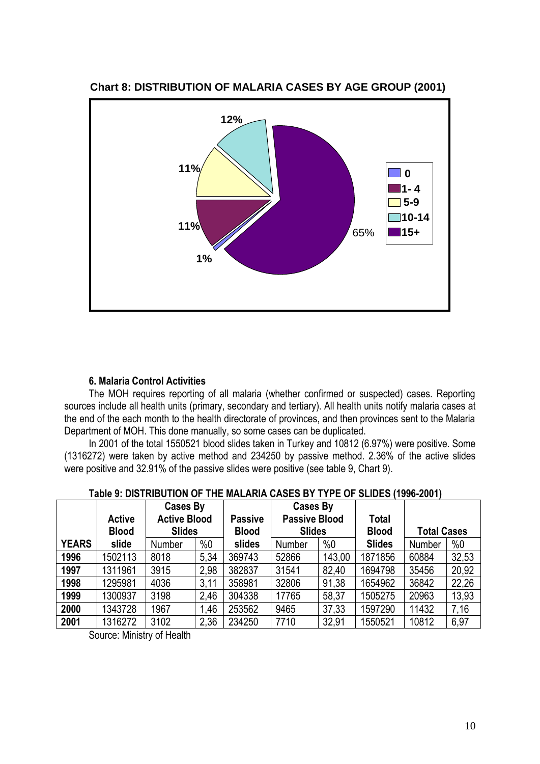

## **Chart 8: DISTRIBUTION OF MALARIA CASES BY AGE GROUP (2001)**

## **6. Malaria Control Activities**

The MOH requires reporting of all malaria (whether confirmed or suspected) cases. Reporting sources include all health units (primary, secondary and tertiary). All health units notify malaria cases at the end of the each month to the health directorate of provinces, and then provinces sent to the Malaria Department of MOH. This done manually, so some cases can be duplicated.

In 2001 of the total 1550521 blood slides taken in Turkey and 10812 (6.97%) were positive. Some (1316272) were taken by active method and 234250 by passive method. 2.36% of the active slides were positive and 32.91% of the passive slides were positive (see table 9, Chart 9).

|              | <b>Active</b><br><b>Blood</b> | Cases By<br><b>Active Blood</b><br><b>Slides</b> |      | <b>Passive</b><br><b>Blood</b> | Cases By<br><b>Passive Blood</b><br><b>Slides</b> |        | <b>Total</b><br><b>Blood</b> | <b>Total Cases</b> |       |
|--------------|-------------------------------|--------------------------------------------------|------|--------------------------------|---------------------------------------------------|--------|------------------------------|--------------------|-------|
| <b>YEARS</b> | slide                         | Number                                           | %0   | slides                         | Number                                            | %0     | <b>Slides</b>                | Number             | %0    |
| 1996         | 1502113                       | 8018                                             | 5,34 | 369743                         | 52866                                             | 143,00 | 1871856                      | 60884              | 32,53 |
| 1997         | 1311961                       | 3915                                             | 2,98 | 382837                         | 31541                                             | 82,40  | 1694798                      | 35456              | 20,92 |
| 1998         | 1295981                       | 4036                                             | 3,11 | 358981                         | 32806                                             | 91,38  | 1654962                      | 36842              | 22,26 |
| 1999         | 1300937                       | 3198                                             | 2,46 | 304338                         | 17765                                             | 58,37  | 1505275                      | 20963              | 13,93 |
| 2000         | 1343728                       | 1967                                             | 1,46 | 253562                         | 9465                                              | 37,33  | 1597290                      | 11432              | 7,16  |
| 2001         | 1316272                       | 3102                                             | 2,36 | 234250                         | 7710                                              | 32,91  | 1550521                      | 10812              | 6,97  |

### **Table 9: DISTRIBUTION OF THE MALARIA CASES BY TYPE OF SLIDES (1996-2001)**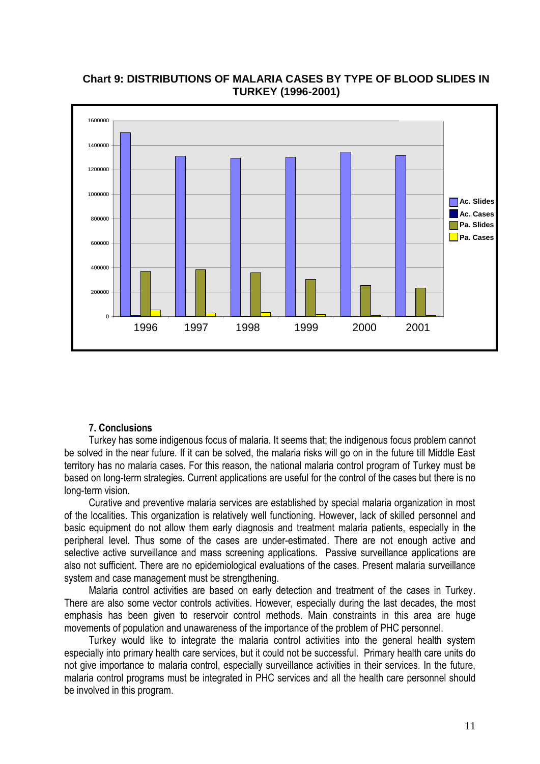

**Chart 9: DISTRIBUTIONS OF MALARIA CASES BY TYPE OF BLOOD SLIDES IN TURKEY (1996-2001)**

## **7. Conclusions**

Turkey has some indigenous focus of malaria. It seems that; the indigenous focus problem cannot be solved in the near future. If it can be solved, the malaria risks will go on in the future till Middle East territory has no malaria cases. For this reason, the national malaria control program of Turkey must be based on long-term strategies. Current applications are useful for the control of the cases but there is no long-term vision.

Curative and preventive malaria services are established by special malaria organization in most of the localities. This organization is relatively well functioning. However, lack of skilled personnel and basic equipment do not allow them early diagnosis and treatment malaria patients, especially in the peripheral level. Thus some of the cases are under-estimated. There are not enough active and selective active surveillance and mass screening applications. Passive surveillance applications are also not sufficient. There are no epidemiological evaluations of the cases. Present malaria surveillance system and case management must be strengthening.

Malaria control activities are based on early detection and treatment of the cases in Turkey. There are also some vector controls activities. However, especially during the last decades, the most emphasis has been given to reservoir control methods. Main constraints in this area are huge movements of population and unawareness of the importance of the problem of PHC personnel.

Turkey would like to integrate the malaria control activities into the general health system especially into primary health care services, but it could not be successful. Primary health care units do not give importance to malaria control, especially surveillance activities in their services. In the future, malaria control programs must be integrated in PHC services and all the health care personnel should be involved in this program.